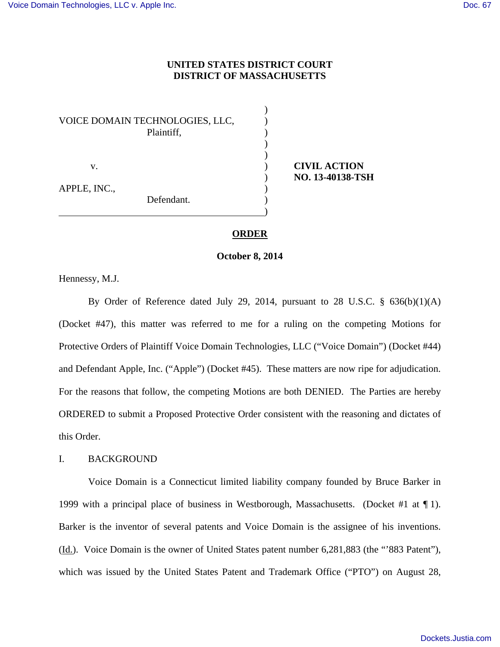## **UNITED STATES DISTRICT COURT DISTRICT OF MASSACHUSETTS**

|              | VOICE DOMAIN TECHNOLOGIES, LLC,<br>Plaintiff, |  |
|--------------|-----------------------------------------------|--|
| V.           |                                               |  |
| APPLE, INC., | Defendant.                                    |  |

 v. ) **CIVIL ACTION** ) **NO. 13-40138-TSH**

#### **ORDER**

**October 8, 2014** 

Hennessy, M.J.

By Order of Reference dated July 29, 2014, pursuant to 28 U.S.C.  $\S$  636(b)(1)(A) (Docket #47), this matter was referred to me for a ruling on the competing Motions for Protective Orders of Plaintiff Voice Domain Technologies, LLC ("Voice Domain") (Docket #44) and Defendant Apple, Inc. ("Apple") (Docket #45). These matters are now ripe for adjudication. For the reasons that follow, the competing Motions are both DENIED. The Parties are hereby ORDERED to submit a Proposed Protective Order consistent with the reasoning and dictates of this Order.

## I. BACKGROUND

Voice Domain is a Connecticut limited liability company founded by Bruce Barker in 1999 with a principal place of business in Westborough, Massachusetts. (Docket #1 at ¶ 1). Barker is the inventor of several patents and Voice Domain is the assignee of his inventions. (Id.). Voice Domain is the owner of United States patent number 6,281,883 (the "'883 Patent"), which was issued by the United States Patent and Trademark Office ("PTO") on August 28,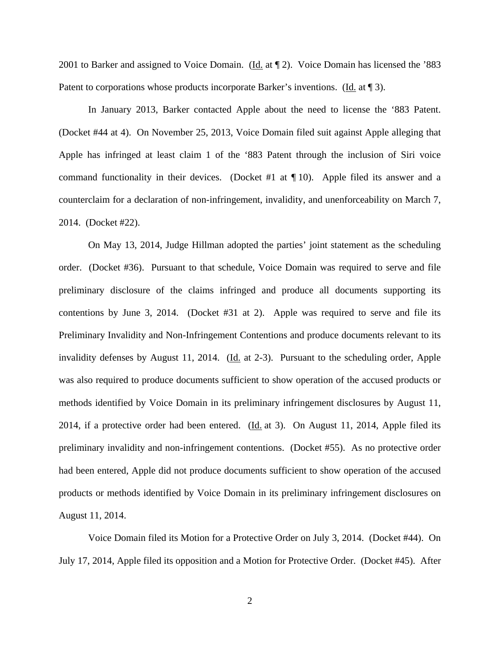2001 to Barker and assigned to Voice Domain. (Id. at 12). Voice Domain has licensed the '883 Patent to corporations whose products incorporate Barker's inventions. (Id. at ¶ 3).

 In January 2013, Barker contacted Apple about the need to license the '883 Patent. (Docket #44 at 4). On November 25, 2013, Voice Domain filed suit against Apple alleging that Apple has infringed at least claim 1 of the '883 Patent through the inclusion of Siri voice command functionality in their devices. (Docket #1 at  $\P$  10). Apple filed its answer and a counterclaim for a declaration of non-infringement, invalidity, and unenforceability on March 7, 2014. (Docket #22).

On May 13, 2014, Judge Hillman adopted the parties' joint statement as the scheduling order. (Docket #36). Pursuant to that schedule, Voice Domain was required to serve and file preliminary disclosure of the claims infringed and produce all documents supporting its contentions by June 3, 2014. (Docket #31 at 2). Apple was required to serve and file its Preliminary Invalidity and Non-Infringement Contentions and produce documents relevant to its invalidity defenses by August 11, 2014. (Id. at 2-3). Pursuant to the scheduling order, Apple was also required to produce documents sufficient to show operation of the accused products or methods identified by Voice Domain in its preliminary infringement disclosures by August 11, 2014, if a protective order had been entered.  $(\underline{Id}$  at 3). On August 11, 2014, Apple filed its preliminary invalidity and non-infringement contentions. (Docket #55). As no protective order had been entered, Apple did not produce documents sufficient to show operation of the accused products or methods identified by Voice Domain in its preliminary infringement disclosures on August 11, 2014.

Voice Domain filed its Motion for a Protective Order on July 3, 2014. (Docket #44). On July 17, 2014, Apple filed its opposition and a Motion for Protective Order. (Docket #45). After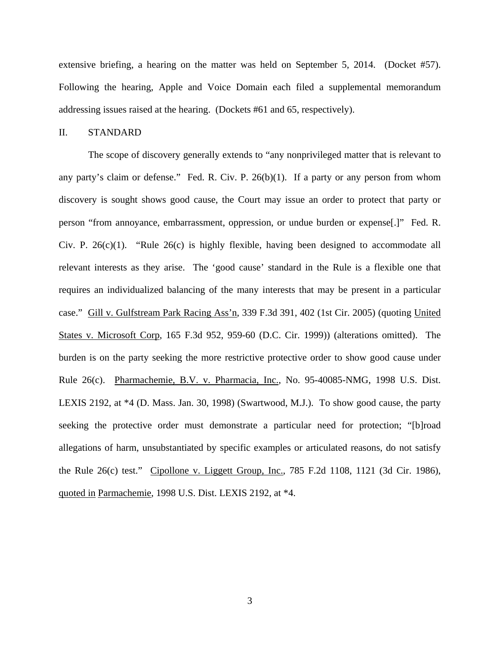extensive briefing, a hearing on the matter was held on September 5, 2014. (Docket #57). Following the hearing, Apple and Voice Domain each filed a supplemental memorandum addressing issues raised at the hearing. (Dockets #61 and 65, respectively).

#### II. STANDARD

 The scope of discovery generally extends to "any nonprivileged matter that is relevant to any party's claim or defense." Fed. R. Civ. P. 26(b)(1). If a party or any person from whom discovery is sought shows good cause, the Court may issue an order to protect that party or person "from annoyance, embarrassment, oppression, or undue burden or expense[.]" Fed. R. Civ. P.  $26(c)(1)$ . "Rule  $26(c)$  is highly flexible, having been designed to accommodate all relevant interests as they arise. The 'good cause' standard in the Rule is a flexible one that requires an individualized balancing of the many interests that may be present in a particular case." Gill v. Gulfstream Park Racing Ass'n, 339 F.3d 391, 402 (1st Cir. 2005) (quoting United States v. Microsoft Corp, 165 F.3d 952, 959-60 (D.C. Cir. 1999)) (alterations omitted). The burden is on the party seeking the more restrictive protective order to show good cause under Rule 26(c). Pharmachemie, B.V. v. Pharmacia, Inc., No. 95-40085-NMG, 1998 U.S. Dist. LEXIS 2192, at \*4 (D. Mass. Jan. 30, 1998) (Swartwood, M.J.). To show good cause, the party seeking the protective order must demonstrate a particular need for protection; "[b]road allegations of harm, unsubstantiated by specific examples or articulated reasons, do not satisfy the Rule 26(c) test." Cipollone v. Liggett Group, Inc., 785 F.2d 1108, 1121 (3d Cir. 1986), quoted in Parmachemie, 1998 U.S. Dist. LEXIS 2192, at \*4.

3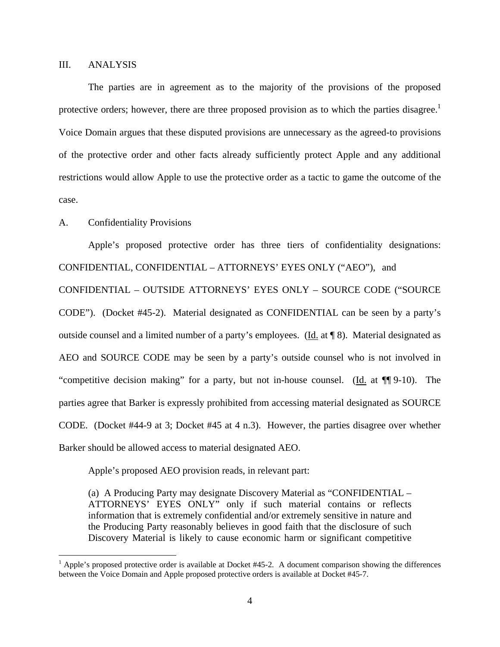### III. ANALYSIS

 The parties are in agreement as to the majority of the provisions of the proposed protective orders; however, there are three proposed provision as to which the parties disagree.<sup>1</sup> Voice Domain argues that these disputed provisions are unnecessary as the agreed-to provisions of the protective order and other facts already sufficiently protect Apple and any additional restrictions would allow Apple to use the protective order as a tactic to game the outcome of the case.

### A. Confidentiality Provisions

<u>.</u>

Apple's proposed protective order has three tiers of confidentiality designations: CONFIDENTIAL, CONFIDENTIAL – ATTORNEYS' EYES ONLY ("AEO"), and

CONFIDENTIAL – OUTSIDE ATTORNEYS' EYES ONLY – SOURCE CODE ("SOURCE CODE"). (Docket #45-2). Material designated as CONFIDENTIAL can be seen by a party's outside counsel and a limited number of a party's employees. (Id. at ¶ 8). Material designated as AEO and SOURCE CODE may be seen by a party's outside counsel who is not involved in "competitive decision making" for a party, but not in-house counsel. (Id. at ¶¶ 9-10). The parties agree that Barker is expressly prohibited from accessing material designated as SOURCE CODE. (Docket #44-9 at 3; Docket #45 at 4 n.3). However, the parties disagree over whether Barker should be allowed access to material designated AEO.

Apple's proposed AEO provision reads, in relevant part:

(a) A Producing Party may designate Discovery Material as "CONFIDENTIAL – ATTORNEYS' EYES ONLY" only if such material contains or reflects information that is extremely confidential and/or extremely sensitive in nature and the Producing Party reasonably believes in good faith that the disclosure of such Discovery Material is likely to cause economic harm or significant competitive

<sup>&</sup>lt;sup>1</sup> Apple's proposed protective order is available at Docket #45-2. A document comparison showing the differences between the Voice Domain and Apple proposed protective orders is available at Docket #45-7.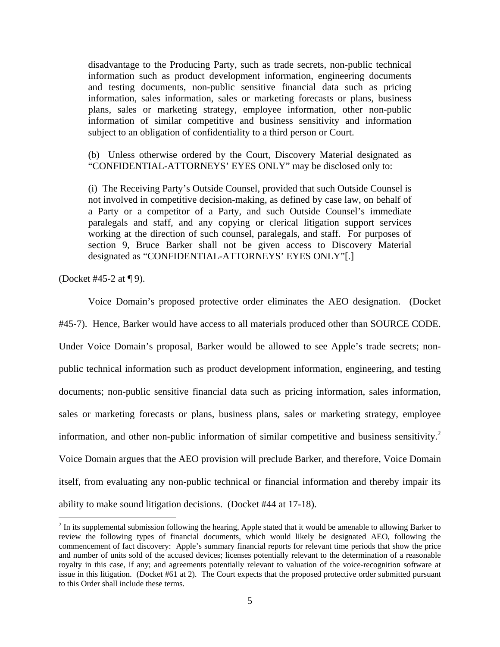disadvantage to the Producing Party, such as trade secrets, non-public technical information such as product development information, engineering documents and testing documents, non-public sensitive financial data such as pricing information, sales information, sales or marketing forecasts or plans, business plans, sales or marketing strategy, employee information, other non-public information of similar competitive and business sensitivity and information subject to an obligation of confidentiality to a third person or Court.

(b) Unless otherwise ordered by the Court, Discovery Material designated as "CONFIDENTIAL-ATTORNEYS' EYES ONLY" may be disclosed only to:

(i) The Receiving Party's Outside Counsel, provided that such Outside Counsel is not involved in competitive decision-making, as defined by case law, on behalf of a Party or a competitor of a Party, and such Outside Counsel's immediate paralegals and staff, and any copying or clerical litigation support services working at the direction of such counsel, paralegals, and staff. For purposes of section 9, Bruce Barker shall not be given access to Discovery Material designated as "CONFIDENTIAL-ATTORNEYS' EYES ONLY"[.]

(Docket #45-2 at ¶ 9).

<u>.</u>

Voice Domain's proposed protective order eliminates the AEO designation. (Docket

#45-7). Hence, Barker would have access to all materials produced other than SOURCE CODE.

Under Voice Domain's proposal, Barker would be allowed to see Apple's trade secrets; nonpublic technical information such as product development information, engineering, and testing documents; non-public sensitive financial data such as pricing information, sales information, sales or marketing forecasts or plans, business plans, sales or marketing strategy, employee information, and other non-public information of similar competitive and business sensitivity.<sup>2</sup> Voice Domain argues that the AEO provision will preclude Barker, and therefore, Voice Domain itself, from evaluating any non-public technical or financial information and thereby impair its ability to make sound litigation decisions. (Docket #44 at 17-18).

 $2<sup>2</sup>$  In its supplemental submission following the hearing, Apple stated that it would be amenable to allowing Barker to review the following types of financial documents, which would likely be designated AEO, following the commencement of fact discovery: Apple's summary financial reports for relevant time periods that show the price and number of units sold of the accused devices; licenses potentially relevant to the determination of a reasonable royalty in this case, if any; and agreements potentially relevant to valuation of the voice-recognition software at issue in this litigation. (Docket #61 at 2). The Court expects that the proposed protective order submitted pursuant to this Order shall include these terms.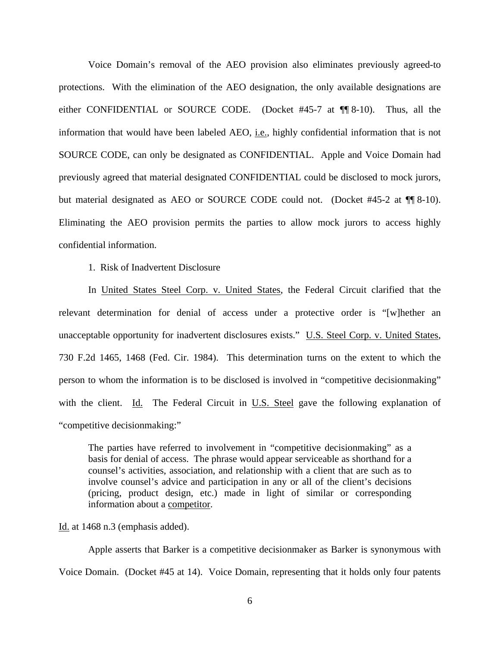Voice Domain's removal of the AEO provision also eliminates previously agreed-to protections. With the elimination of the AEO designation, the only available designations are either CONFIDENTIAL or SOURCE CODE. (Docket #45-7 at ¶¶ 8-10). Thus, all the information that would have been labeled AEO, i.e., highly confidential information that is not SOURCE CODE, can only be designated as CONFIDENTIAL. Apple and Voice Domain had previously agreed that material designated CONFIDENTIAL could be disclosed to mock jurors, but material designated as AEO or SOURCE CODE could not. (Docket #45-2 at  $\P$  8-10). Eliminating the AEO provision permits the parties to allow mock jurors to access highly confidential information.

1. Risk of Inadvertent Disclosure

In United States Steel Corp. v. United States, the Federal Circuit clarified that the relevant determination for denial of access under a protective order is "[w]hether an unacceptable opportunity for inadvertent disclosures exists." U.S. Steel Corp. v. United States, 730 F.2d 1465, 1468 (Fed. Cir. 1984). This determination turns on the extent to which the person to whom the information is to be disclosed is involved in "competitive decisionmaking" with the client. Id. The Federal Circuit in  $U.S.$  Steel gave the following explanation of "competitive decisionmaking:"

The parties have referred to involvement in "competitive decisionmaking" as a basis for denial of access. The phrase would appear serviceable as shorthand for a counsel's activities, association, and relationship with a client that are such as to involve counsel's advice and participation in any or all of the client's decisions (pricing, product design, etc.) made in light of similar or corresponding information about a competitor.

Id. at 1468 n.3 (emphasis added).

Apple asserts that Barker is a competitive decisionmaker as Barker is synonymous with Voice Domain. (Docket #45 at 14). Voice Domain, representing that it holds only four patents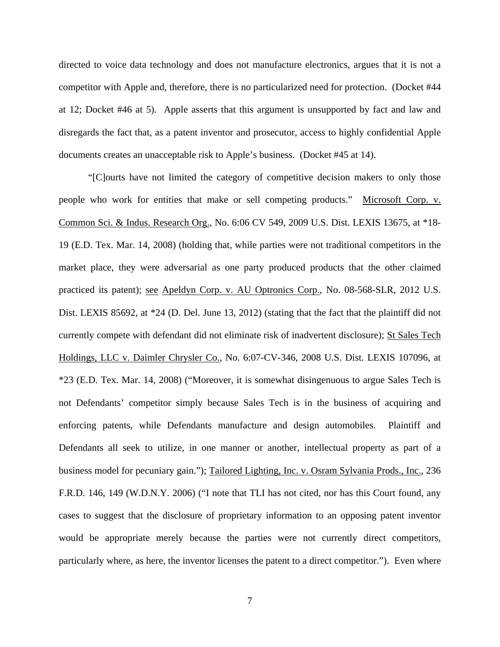directed to voice data technology and does not manufacture electronics, argues that it is not a competitor with Apple and, therefore, there is no particularized need for protection. (Docket #44 at 12; Docket #46 at 5). Apple asserts that this argument is unsupported by fact and law and disregards the fact that, as a patent inventor and prosecutor, access to highly confidential Apple documents creates an unacceptable risk to Apple's business. (Docket #45 at 14).

"[C]ourts have not limited the category of competitive decision makers to only those people who work for entities that make or sell competing products." Microsoft Corp. v. Common Sci. & Indus. Research Org., No. 6:06 CV 549, 2009 U.S. Dist. LEXIS 13675, at \*18- 19 (E.D. Tex. Mar. 14, 2008) (holding that, while parties were not traditional competitors in the market place, they were adversarial as one party produced products that the other claimed practiced its patent); see Apeldyn Corp. v. AU Optronics Corp., No. 08-568-SLR, 2012 U.S. Dist. LEXIS 85692, at \*24 (D. Del. June 13, 2012) (stating that the fact that the plaintiff did not currently compete with defendant did not eliminate risk of inadvertent disclosure); St Sales Tech Holdings, LLC v. Daimler Chrysler Co., No. 6:07-CV-346, 2008 U.S. Dist. LEXIS 107096, at \*23 (E.D. Tex. Mar. 14, 2008) ("Moreover, it is somewhat disingenuous to argue Sales Tech is not Defendants' competitor simply because Sales Tech is in the business of acquiring and enforcing patents, while Defendants manufacture and design automobiles. Plaintiff and Defendants all seek to utilize, in one manner or another, intellectual property as part of a business model for pecuniary gain."); Tailored Lighting, Inc. v. Osram Sylvania Prods., Inc., 236 F.R.D. 146, 149 (W.D.N.Y. 2006) ("I note that TLI has not cited, nor has this Court found, any cases to suggest that the disclosure of proprietary information to an opposing patent inventor would be appropriate merely because the parties were not currently direct competitors, particularly where, as here, the inventor licenses the patent to a direct competitor."). Even where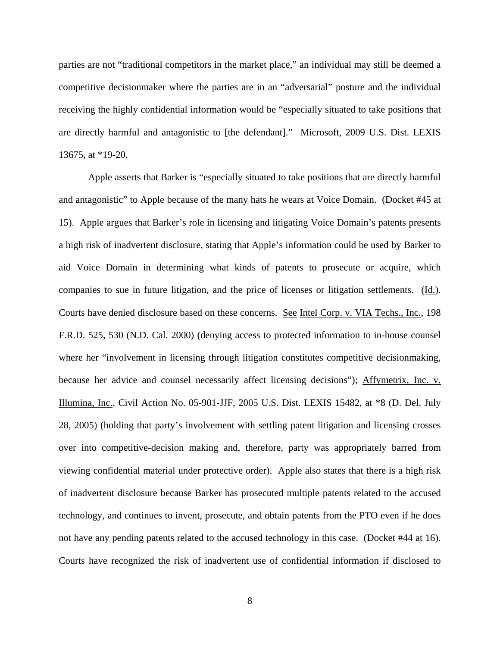parties are not "traditional competitors in the market place," an individual may still be deemed a competitive decisionmaker where the parties are in an "adversarial" posture and the individual receiving the highly confidential information would be "especially situated to take positions that are directly harmful and antagonistic to [the defendant]." Microsoft, 2009 U.S. Dist. LEXIS 13675, at \*19-20.

Apple asserts that Barker is "especially situated to take positions that are directly harmful and antagonistic" to Apple because of the many hats he wears at Voice Domain. (Docket #45 at 15). Apple argues that Barker's role in licensing and litigating Voice Domain's patents presents a high risk of inadvertent disclosure, stating that Apple's information could be used by Barker to aid Voice Domain in determining what kinds of patents to prosecute or acquire, which companies to sue in future litigation, and the price of licenses or litigation settlements. (Id.). Courts have denied disclosure based on these concerns. See Intel Corp. v. VIA Techs., Inc., 198 F.R.D. 525, 530 (N.D. Cal. 2000) (denying access to protected information to in-house counsel where her "involvement in licensing through litigation constitutes competitive decisionmaking, because her advice and counsel necessarily affect licensing decisions"); Affymetrix, Inc. v. Illumina, Inc., Civil Action No. 05-901-JJF, 2005 U.S. Dist. LEXIS 15482, at \*8 (D. Del. July 28, 2005) (holding that party's involvement with settling patent litigation and licensing crosses over into competitive-decision making and, therefore, party was appropriately barred from viewing confidential material under protective order). Apple also states that there is a high risk of inadvertent disclosure because Barker has prosecuted multiple patents related to the accused technology, and continues to invent, prosecute, and obtain patents from the PTO even if he does not have any pending patents related to the accused technology in this case. (Docket #44 at 16). Courts have recognized the risk of inadvertent use of confidential information if disclosed to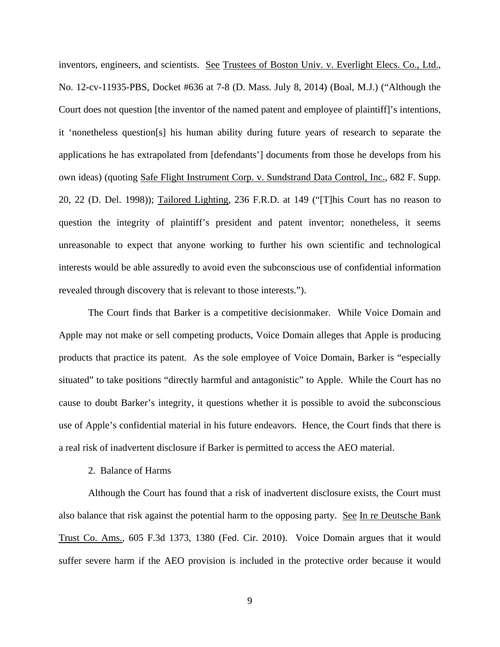inventors, engineers, and scientists. See Trustees of Boston Univ. v. Everlight Elecs. Co., Ltd., No. 12-cv-11935-PBS, Docket #636 at 7-8 (D. Mass. July 8, 2014) (Boal, M.J.) ("Although the Court does not question [the inventor of the named patent and employee of plaintiff]'s intentions, it 'nonetheless question[s] his human ability during future years of research to separate the applications he has extrapolated from [defendants'] documents from those he develops from his own ideas) (quoting Safe Flight Instrument Corp. v. Sundstrand Data Control, Inc., 682 F. Supp. 20, 22 (D. Del. 1998)); Tailored Lighting, 236 F.R.D. at 149 ("[T]his Court has no reason to question the integrity of plaintiff's president and patent inventor; nonetheless, it seems unreasonable to expect that anyone working to further his own scientific and technological interests would be able assuredly to avoid even the subconscious use of confidential information revealed through discovery that is relevant to those interests.").

The Court finds that Barker is a competitive decisionmaker. While Voice Domain and Apple may not make or sell competing products, Voice Domain alleges that Apple is producing products that practice its patent. As the sole employee of Voice Domain, Barker is "especially situated" to take positions "directly harmful and antagonistic" to Apple. While the Court has no cause to doubt Barker's integrity, it questions whether it is possible to avoid the subconscious use of Apple's confidential material in his future endeavors. Hence, the Court finds that there is a real risk of inadvertent disclosure if Barker is permitted to access the AEO material.

#### 2. Balance of Harms

Although the Court has found that a risk of inadvertent disclosure exists, the Court must also balance that risk against the potential harm to the opposing party. See In re Deutsche Bank Trust Co. Ams., 605 F.3d 1373, 1380 (Fed. Cir. 2010). Voice Domain argues that it would suffer severe harm if the AEO provision is included in the protective order because it would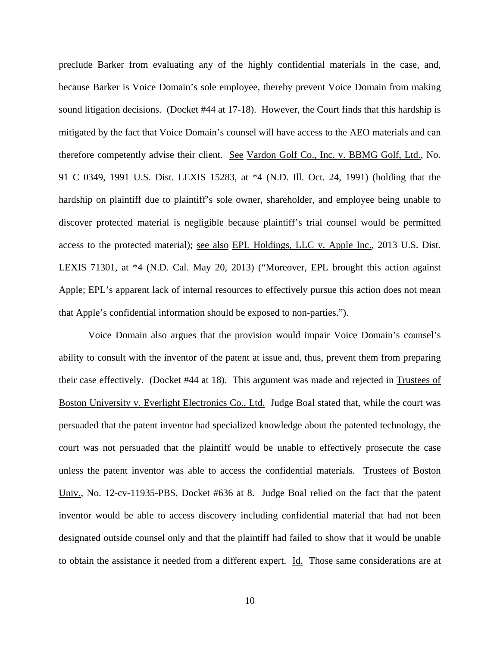preclude Barker from evaluating any of the highly confidential materials in the case, and, because Barker is Voice Domain's sole employee, thereby prevent Voice Domain from making sound litigation decisions. (Docket #44 at 17-18). However, the Court finds that this hardship is mitigated by the fact that Voice Domain's counsel will have access to the AEO materials and can therefore competently advise their client. See Vardon Golf Co., Inc. v. BBMG Golf, Ltd., No. 91 C 0349, 1991 U.S. Dist. LEXIS 15283, at \*4 (N.D. Ill. Oct. 24, 1991) (holding that the hardship on plaintiff due to plaintiff's sole owner, shareholder, and employee being unable to discover protected material is negligible because plaintiff's trial counsel would be permitted access to the protected material); see also EPL Holdings, LLC v. Apple Inc., 2013 U.S. Dist. LEXIS 71301, at \*4 (N.D. Cal. May 20, 2013) ("Moreover, EPL brought this action against Apple; EPL's apparent lack of internal resources to effectively pursue this action does not mean that Apple's confidential information should be exposed to non-parties.").

Voice Domain also argues that the provision would impair Voice Domain's counsel's ability to consult with the inventor of the patent at issue and, thus, prevent them from preparing their case effectively. (Docket #44 at 18). This argument was made and rejected in Trustees of Boston University v. Everlight Electronics Co., Ltd. Judge Boal stated that, while the court was persuaded that the patent inventor had specialized knowledge about the patented technology, the court was not persuaded that the plaintiff would be unable to effectively prosecute the case unless the patent inventor was able to access the confidential materials. Trustees of Boston Univ., No. 12-cv-11935-PBS, Docket #636 at 8. Judge Boal relied on the fact that the patent inventor would be able to access discovery including confidential material that had not been designated outside counsel only and that the plaintiff had failed to show that it would be unable to obtain the assistance it needed from a different expert. Id. Those same considerations are at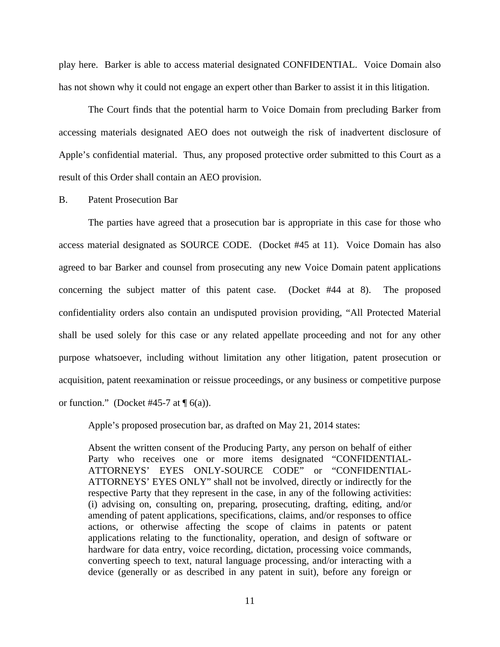play here. Barker is able to access material designated CONFIDENTIAL. Voice Domain also has not shown why it could not engage an expert other than Barker to assist it in this litigation.

The Court finds that the potential harm to Voice Domain from precluding Barker from accessing materials designated AEO does not outweigh the risk of inadvertent disclosure of Apple's confidential material. Thus, any proposed protective order submitted to this Court as a result of this Order shall contain an AEO provision.

B. Patent Prosecution Bar

The parties have agreed that a prosecution bar is appropriate in this case for those who access material designated as SOURCE CODE. (Docket #45 at 11). Voice Domain has also agreed to bar Barker and counsel from prosecuting any new Voice Domain patent applications concerning the subject matter of this patent case. (Docket #44 at 8). The proposed confidentiality orders also contain an undisputed provision providing, "All Protected Material shall be used solely for this case or any related appellate proceeding and not for any other purpose whatsoever, including without limitation any other litigation, patent prosecution or acquisition, patent reexamination or reissue proceedings, or any business or competitive purpose or function." (Docket #45-7 at  $\P$  6(a)).

Apple's proposed prosecution bar, as drafted on May 21, 2014 states:

Absent the written consent of the Producing Party, any person on behalf of either Party who receives one or more items designated "CONFIDENTIAL-ATTORNEYS' EYES ONLY-SOURCE CODE" or "CONFIDENTIAL-ATTORNEYS' EYES ONLY" shall not be involved, directly or indirectly for the respective Party that they represent in the case, in any of the following activities: (i) advising on, consulting on, preparing, prosecuting, drafting, editing, and/or amending of patent applications, specifications, claims, and/or responses to office actions, or otherwise affecting the scope of claims in patents or patent applications relating to the functionality, operation, and design of software or hardware for data entry, voice recording, dictation, processing voice commands, converting speech to text, natural language processing, and/or interacting with a device (generally or as described in any patent in suit), before any foreign or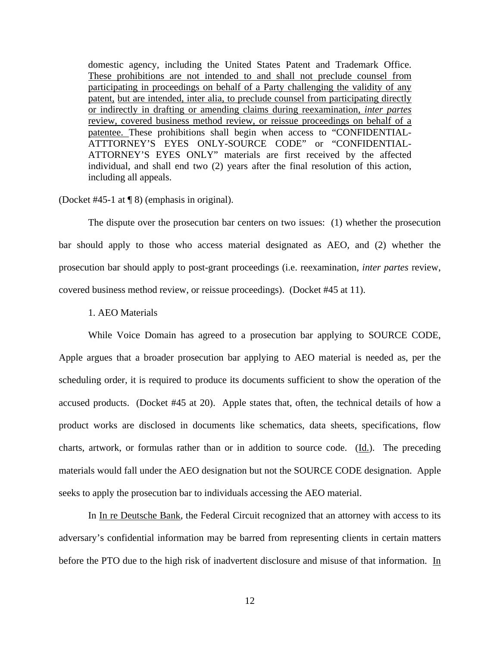domestic agency, including the United States Patent and Trademark Office. These prohibitions are not intended to and shall not preclude counsel from participating in proceedings on behalf of a Party challenging the validity of any patent, but are intended, inter alia, to preclude counsel from participating directly or indirectly in drafting or amending claims during reexamination, *inter partes* review, covered business method review, or reissue proceedings on behalf of a patentee. These prohibitions shall begin when access to "CONFIDENTIAL-ATTTORNEY'S EYES ONLY-SOURCE CODE" or "CONFIDENTIAL-ATTORNEY'S EYES ONLY" materials are first received by the affected individual, and shall end two (2) years after the final resolution of this action, including all appeals.

(Docket #45-1 at ¶ 8) (emphasis in original).

 The dispute over the prosecution bar centers on two issues: (1) whether the prosecution bar should apply to those who access material designated as AEO, and (2) whether the prosecution bar should apply to post-grant proceedings (i.e. reexamination, *inter partes* review, covered business method review, or reissue proceedings). (Docket #45 at 11).

### 1. AEO Materials

While Voice Domain has agreed to a prosecution bar applying to SOURCE CODE, Apple argues that a broader prosecution bar applying to AEO material is needed as, per the scheduling order, it is required to produce its documents sufficient to show the operation of the accused products. (Docket #45 at 20). Apple states that, often, the technical details of how a product works are disclosed in documents like schematics, data sheets, specifications, flow charts, artwork, or formulas rather than or in addition to source code. (Id.). The preceding materials would fall under the AEO designation but not the SOURCE CODE designation. Apple seeks to apply the prosecution bar to individuals accessing the AEO material.

In In re Deutsche Bank, the Federal Circuit recognized that an attorney with access to its adversary's confidential information may be barred from representing clients in certain matters before the PTO due to the high risk of inadvertent disclosure and misuse of that information. In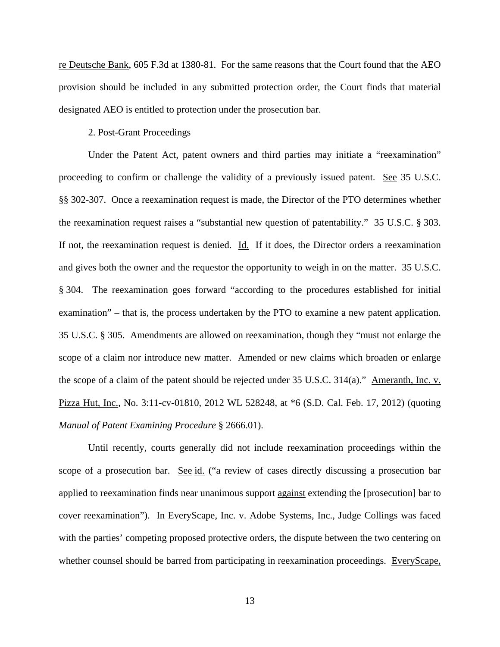re Deutsche Bank, 605 F.3d at 1380-81. For the same reasons that the Court found that the AEO provision should be included in any submitted protection order, the Court finds that material designated AEO is entitled to protection under the prosecution bar.

#### 2. Post-Grant Proceedings

 Under the Patent Act, patent owners and third parties may initiate a "reexamination" proceeding to confirm or challenge the validity of a previously issued patent. See 35 U.S.C. §§ 302-307. Once a reexamination request is made, the Director of the PTO determines whether the reexamination request raises a "substantial new question of patentability." 35 U.S.C. § 303. If not, the reexamination request is denied. Id. If it does, the Director orders a reexamination and gives both the owner and the requestor the opportunity to weigh in on the matter. 35 U.S.C. § 304. The reexamination goes forward "according to the procedures established for initial examination" – that is, the process undertaken by the PTO to examine a new patent application. 35 U.S.C. § 305. Amendments are allowed on reexamination, though they "must not enlarge the scope of a claim nor introduce new matter. Amended or new claims which broaden or enlarge the scope of a claim of the patent should be rejected under 35 U.S.C. 314(a)." Ameranth, Inc. v. Pizza Hut, Inc., No. 3:11-cv-01810, 2012 WL 528248, at \*6 (S.D. Cal. Feb. 17, 2012) (quoting *Manual of Patent Examining Procedure* § 2666.01).

 Until recently, courts generally did not include reexamination proceedings within the scope of a prosecution bar. See id. ("a review of cases directly discussing a prosecution bar applied to reexamination finds near unanimous support against extending the [prosecution] bar to cover reexamination"). In EveryScape, Inc. v. Adobe Systems, Inc., Judge Collings was faced with the parties' competing proposed protective orders, the dispute between the two centering on whether counsel should be barred from participating in reexamination proceedings. EveryScape,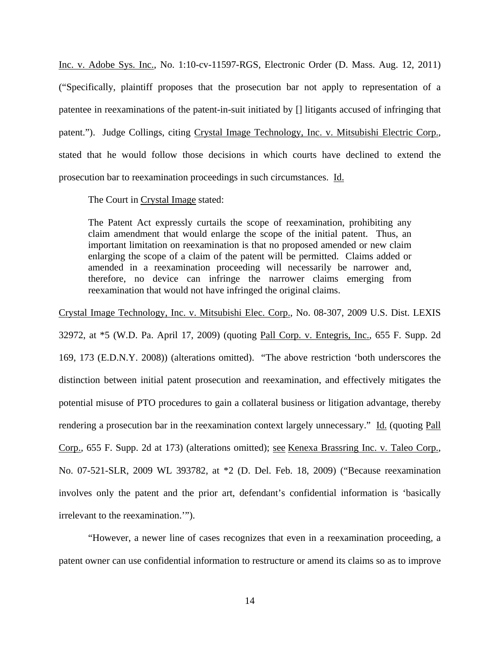Inc. v. Adobe Sys. Inc., No. 1:10-cv-11597-RGS, Electronic Order (D. Mass. Aug. 12, 2011) ("Specifically, plaintiff proposes that the prosecution bar not apply to representation of a patentee in reexaminations of the patent-in-suit initiated by [] litigants accused of infringing that patent."). Judge Collings, citing Crystal Image Technology, Inc. v. Mitsubishi Electric Corp., stated that he would follow those decisions in which courts have declined to extend the prosecution bar to reexamination proceedings in such circumstances. Id.

The Court in Crystal Image stated:

The Patent Act expressly curtails the scope of reexamination, prohibiting any claim amendment that would enlarge the scope of the initial patent. Thus, an important limitation on reexamination is that no proposed amended or new claim enlarging the scope of a claim of the patent will be permitted. Claims added or amended in a reexamination proceeding will necessarily be narrower and, therefore, no device can infringe the narrower claims emerging from reexamination that would not have infringed the original claims.

Crystal Image Technology, Inc. v. Mitsubishi Elec. Corp., No. 08-307, 2009 U.S. Dist. LEXIS

32972, at \*5 (W.D. Pa. April 17, 2009) (quoting Pall Corp. v. Entegris, Inc., 655 F. Supp. 2d 169, 173 (E.D.N.Y. 2008)) (alterations omitted). "The above restriction 'both underscores the distinction between initial patent prosecution and reexamination, and effectively mitigates the potential misuse of PTO procedures to gain a collateral business or litigation advantage, thereby rendering a prosecution bar in the reexamination context largely unnecessary." Id. (quoting Pall Corp., 655 F. Supp. 2d at 173) (alterations omitted); see Kenexa Brassring Inc. v. Taleo Corp., No. 07-521-SLR, 2009 WL 393782, at \*2 (D. Del. Feb. 18, 2009) ("Because reexamination involves only the patent and the prior art, defendant's confidential information is 'basically irrelevant to the reexamination.'").

 "However, a newer line of cases recognizes that even in a reexamination proceeding, a patent owner can use confidential information to restructure or amend its claims so as to improve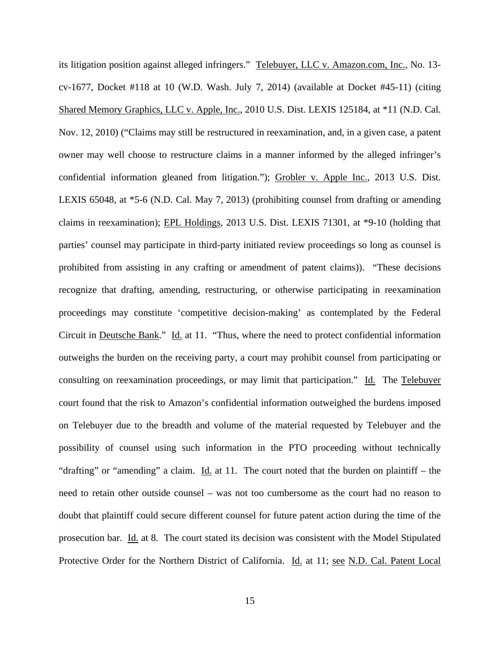its litigation position against alleged infringers." Telebuyer, LLC v. Amazon.com, Inc., No. 13 cv-1677, Docket #118 at 10 (W.D. Wash. July 7, 2014) (available at Docket #45-11) (citing Shared Memory Graphics, LLC v. Apple, Inc., 2010 U.S. Dist. LEXIS 125184, at \*11 (N.D. Cal. Nov. 12, 2010) ("Claims may still be restructured in reexamination, and, in a given case, a patent owner may well choose to restructure claims in a manner informed by the alleged infringer's confidential information gleaned from litigation."); Grobler v. Apple Inc., 2013 U.S. Dist. LEXIS 65048, at \*5-6 (N.D. Cal. May 7, 2013) (prohibiting counsel from drafting or amending claims in reexamination); EPL Holdings, 2013 U.S. Dist. LEXIS 71301, at \*9-10 (holding that parties' counsel may participate in third-party initiated review proceedings so long as counsel is prohibited from assisting in any crafting or amendment of patent claims)). "These decisions recognize that drafting, amending, restructuring, or otherwise participating in reexamination proceedings may constitute 'competitive decision-making' as contemplated by the Federal Circuit in Deutsche Bank." Id. at 11. "Thus, where the need to protect confidential information outweighs the burden on the receiving party, a court may prohibit counsel from participating or consulting on reexamination proceedings, or may limit that participation." Id. The Telebuyer court found that the risk to Amazon's confidential information outweighed the burdens imposed on Telebuyer due to the breadth and volume of the material requested by Telebuyer and the possibility of counsel using such information in the PTO proceeding without technically "drafting" or "amending" a claim. Id. at 11. The court noted that the burden on plaintiff – the need to retain other outside counsel – was not too cumbersome as the court had no reason to doubt that plaintiff could secure different counsel for future patent action during the time of the prosecution bar. Id. at 8. The court stated its decision was consistent with the Model Stipulated Protective Order for the Northern District of California. Id. at 11; see N.D. Cal. Patent Local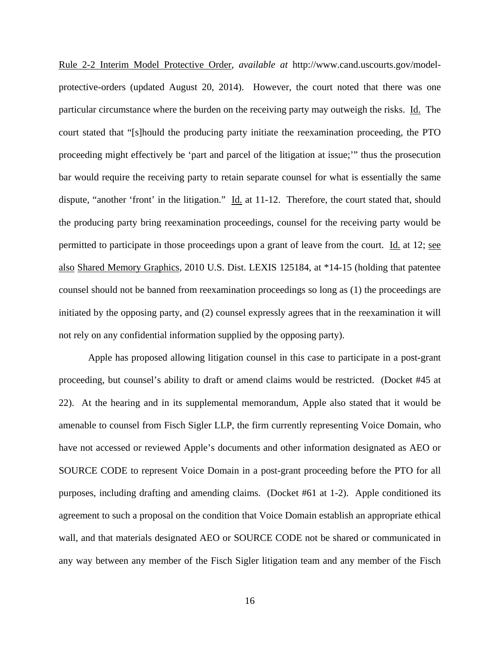Rule 2-2 Interim Model Protective Order, *available at* http://www.cand.uscourts.gov/modelprotective-orders (updated August 20, 2014). However, the court noted that there was one particular circumstance where the burden on the receiving party may outweigh the risks. Id. The court stated that "[s]hould the producing party initiate the reexamination proceeding, the PTO proceeding might effectively be 'part and parcel of the litigation at issue;'" thus the prosecution bar would require the receiving party to retain separate counsel for what is essentially the same dispute, "another 'front' in the litigation." Id. at 11-12. Therefore, the court stated that, should the producing party bring reexamination proceedings, counsel for the receiving party would be permitted to participate in those proceedings upon a grant of leave from the court. Id. at 12; see also Shared Memory Graphics, 2010 U.S. Dist. LEXIS 125184, at \*14-15 (holding that patentee counsel should not be banned from reexamination proceedings so long as (1) the proceedings are initiated by the opposing party, and (2) counsel expressly agrees that in the reexamination it will not rely on any confidential information supplied by the opposing party).

 Apple has proposed allowing litigation counsel in this case to participate in a post-grant proceeding, but counsel's ability to draft or amend claims would be restricted. (Docket #45 at 22). At the hearing and in its supplemental memorandum, Apple also stated that it would be amenable to counsel from Fisch Sigler LLP, the firm currently representing Voice Domain, who have not accessed or reviewed Apple's documents and other information designated as AEO or SOURCE CODE to represent Voice Domain in a post-grant proceeding before the PTO for all purposes, including drafting and amending claims. (Docket #61 at 1-2). Apple conditioned its agreement to such a proposal on the condition that Voice Domain establish an appropriate ethical wall, and that materials designated AEO or SOURCE CODE not be shared or communicated in any way between any member of the Fisch Sigler litigation team and any member of the Fisch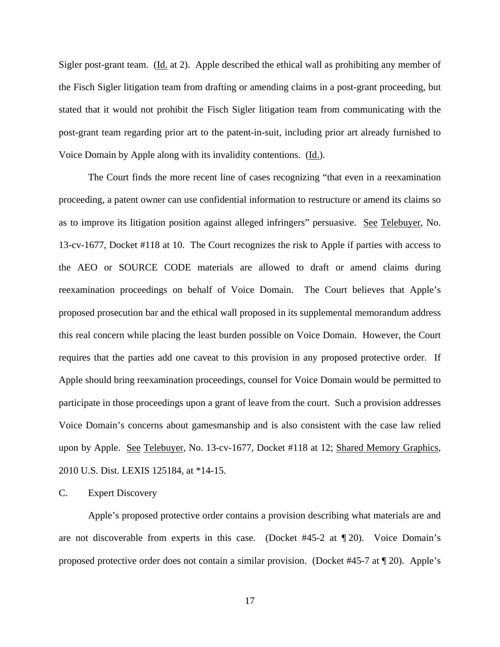Sigler post-grant team. (Id. at 2). Apple described the ethical wall as prohibiting any member of the Fisch Sigler litigation team from drafting or amending claims in a post-grant proceeding, but stated that it would not prohibit the Fisch Sigler litigation team from communicating with the post-grant team regarding prior art to the patent-in-suit, including prior art already furnished to Voice Domain by Apple along with its invalidity contentions. (Id.).

 The Court finds the more recent line of cases recognizing "that even in a reexamination proceeding, a patent owner can use confidential information to restructure or amend its claims so as to improve its litigation position against alleged infringers" persuasive. See Telebuyer, No. 13-cv-1677, Docket #118 at 10. The Court recognizes the risk to Apple if parties with access to the AEO or SOURCE CODE materials are allowed to draft or amend claims during reexamination proceedings on behalf of Voice Domain. The Court believes that Apple's proposed prosecution bar and the ethical wall proposed in its supplemental memorandum address this real concern while placing the least burden possible on Voice Domain. However, the Court requires that the parties add one caveat to this provision in any proposed protective order. If Apple should bring reexamination proceedings, counsel for Voice Domain would be permitted to participate in those proceedings upon a grant of leave from the court. Such a provision addresses Voice Domain's concerns about gamesmanship and is also consistent with the case law relied upon by Apple. See Telebuyer, No. 13-cv-1677, Docket #118 at 12; Shared Memory Graphics, 2010 U.S. Dist. LEXIS 125184, at \*14-15.

C. Expert Discovery

Apple's proposed protective order contains a provision describing what materials are and are not discoverable from experts in this case. (Docket  $#45-2$  at  $\P$  20). Voice Domain's proposed protective order does not contain a similar provision. (Docket #45-7 at ¶ 20). Apple's

17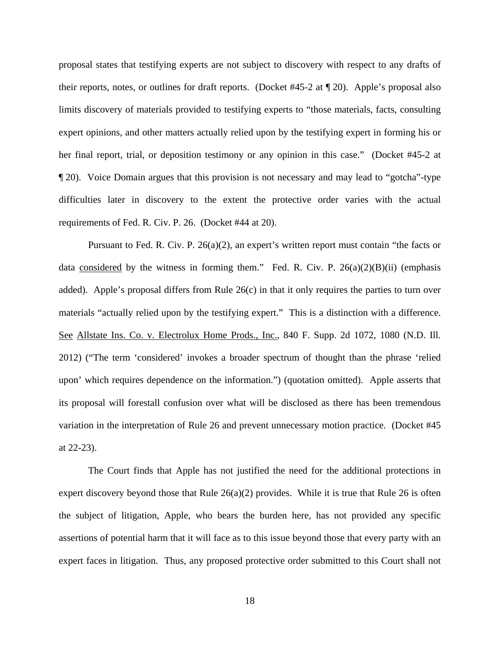proposal states that testifying experts are not subject to discovery with respect to any drafts of their reports, notes, or outlines for draft reports. (Docket #45-2 at ¶ 20). Apple's proposal also limits discovery of materials provided to testifying experts to "those materials, facts, consulting expert opinions, and other matters actually relied upon by the testifying expert in forming his or her final report, trial, or deposition testimony or any opinion in this case." (Docket #45-2 at ¶ 20). Voice Domain argues that this provision is not necessary and may lead to "gotcha"-type difficulties later in discovery to the extent the protective order varies with the actual requirements of Fed. R. Civ. P. 26. (Docket #44 at 20).

 Pursuant to Fed. R. Civ. P. 26(a)(2), an expert's written report must contain "the facts or data considered by the witness in forming them." Fed. R. Civ. P.  $26(a)(2)(B)(ii)$  (emphasis added). Apple's proposal differs from Rule  $26(c)$  in that it only requires the parties to turn over materials "actually relied upon by the testifying expert." This is a distinction with a difference. See Allstate Ins. Co. v. Electrolux Home Prods., Inc., 840 F. Supp. 2d 1072, 1080 (N.D. Ill. 2012) ("The term 'considered' invokes a broader spectrum of thought than the phrase 'relied upon' which requires dependence on the information.") (quotation omitted). Apple asserts that its proposal will forestall confusion over what will be disclosed as there has been tremendous variation in the interpretation of Rule 26 and prevent unnecessary motion practice. (Docket #45 at 22-23).

The Court finds that Apple has not justified the need for the additional protections in expert discovery beyond those that Rule  $26(a)(2)$  provides. While it is true that Rule 26 is often the subject of litigation, Apple, who bears the burden here, has not provided any specific assertions of potential harm that it will face as to this issue beyond those that every party with an expert faces in litigation. Thus, any proposed protective order submitted to this Court shall not